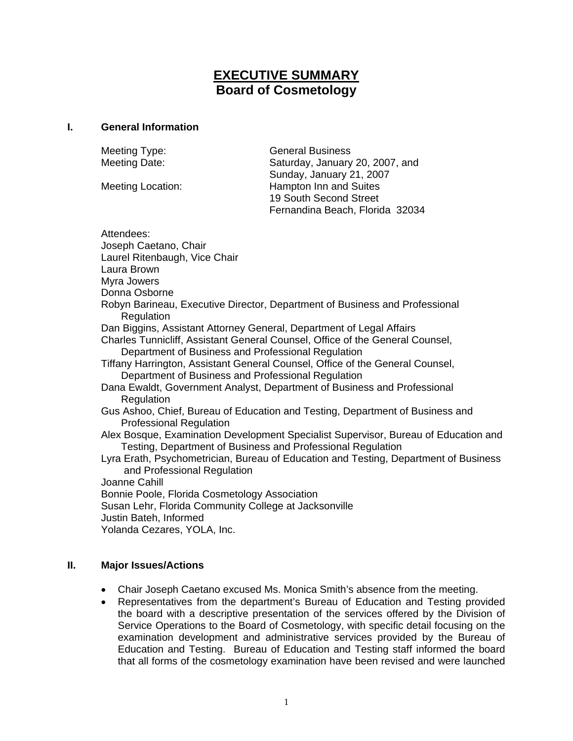# **EXECUTIVE SUMMARY Board of Cosmetology**

#### **I. General Information**

Meeting Type: General Business Meeting Date: Saturday, January 20, 2007, and Sunday, January 21, 2007 Meeting Location: Hampton Inn and Suites 19 South Second Street Fernandina Beach, Florida 32034

Attendees: Joseph Caetano, Chair Laurel Ritenbaugh, Vice Chair Laura Brown Myra Jowers Donna Osborne Robyn Barineau, Executive Director, Department of Business and Professional Regulation Dan Biggins, Assistant Attorney General, Department of Legal Affairs Charles Tunnicliff, Assistant General Counsel, Office of the General Counsel, Department of Business and Professional Regulation Tiffany Harrington, Assistant General Counsel, Office of the General Counsel, Department of Business and Professional Regulation Dana Ewaldt, Government Analyst, Department of Business and Professional Regulation Gus Ashoo, Chief, Bureau of Education and Testing, Department of Business and Professional Regulation Alex Bosque, Examination Development Specialist Supervisor, Bureau of Education and Testing, Department of Business and Professional Regulation Lyra Erath, Psychometrician, Bureau of Education and Testing, Department of Business and Professional Regulation Joanne Cahill Bonnie Poole, Florida Cosmetology Association Susan Lehr, Florida Community College at Jacksonville Justin Bateh, Informed

Yolanda Cezares, YOLA, Inc.

# **II. Major Issues/Actions**

- Chair Joseph Caetano excused Ms. Monica Smith's absence from the meeting.
- Representatives from the department's Bureau of Education and Testing provided the board with a descriptive presentation of the services offered by the Division of Service Operations to the Board of Cosmetology, with specific detail focusing on the examination development and administrative services provided by the Bureau of Education and Testing. Bureau of Education and Testing staff informed the board that all forms of the cosmetology examination have been revised and were launched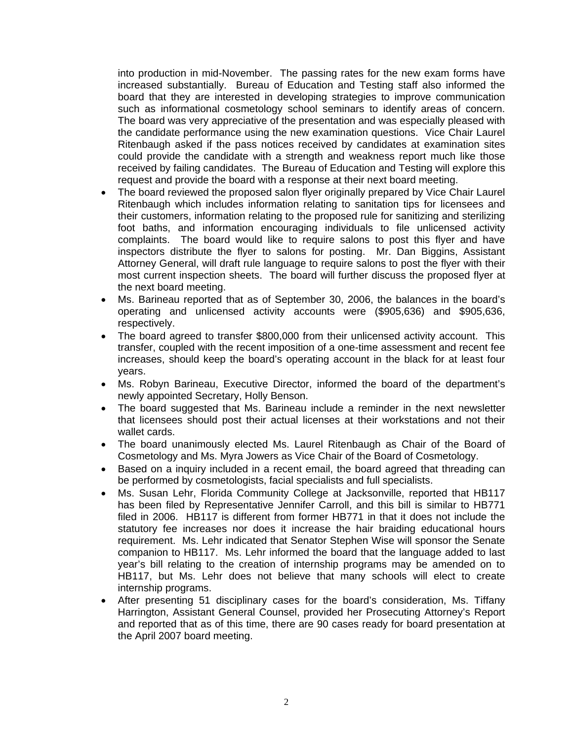into production in mid-November. The passing rates for the new exam forms have increased substantially. Bureau of Education and Testing staff also informed the board that they are interested in developing strategies to improve communication such as informational cosmetology school seminars to identify areas of concern. The board was very appreciative of the presentation and was especially pleased with the candidate performance using the new examination questions. Vice Chair Laurel Ritenbaugh asked if the pass notices received by candidates at examination sites could provide the candidate with a strength and weakness report much like those received by failing candidates. The Bureau of Education and Testing will explore this request and provide the board with a response at their next board meeting.

- The board reviewed the proposed salon flyer originally prepared by Vice Chair Laurel Ritenbaugh which includes information relating to sanitation tips for licensees and their customers, information relating to the proposed rule for sanitizing and sterilizing foot baths, and information encouraging individuals to file unlicensed activity complaints. The board would like to require salons to post this flyer and have inspectors distribute the flyer to salons for posting. Mr. Dan Biggins, Assistant Attorney General, will draft rule language to require salons to post the flyer with their most current inspection sheets. The board will further discuss the proposed flyer at the next board meeting.
- Ms. Barineau reported that as of September 30, 2006, the balances in the board's operating and unlicensed activity accounts were (\$905,636) and \$905,636, respectively.
- The board agreed to transfer \$800,000 from their unlicensed activity account. This transfer, coupled with the recent imposition of a one-time assessment and recent fee increases, should keep the board's operating account in the black for at least four years.
- Ms. Robyn Barineau, Executive Director, informed the board of the department's newly appointed Secretary, Holly Benson.
- The board suggested that Ms. Barineau include a reminder in the next newsletter that licensees should post their actual licenses at their workstations and not their wallet cards.
- The board unanimously elected Ms. Laurel Ritenbaugh as Chair of the Board of Cosmetology and Ms. Myra Jowers as Vice Chair of the Board of Cosmetology.
- Based on a inquiry included in a recent email, the board agreed that threading can be performed by cosmetologists, facial specialists and full specialists.
- Ms. Susan Lehr, Florida Community College at Jacksonville, reported that HB117 has been filed by Representative Jennifer Carroll, and this bill is similar to HB771 filed in 2006. HB117 is different from former HB771 in that it does not include the statutory fee increases nor does it increase the hair braiding educational hours requirement. Ms. Lehr indicated that Senator Stephen Wise will sponsor the Senate companion to HB117. Ms. Lehr informed the board that the language added to last year's bill relating to the creation of internship programs may be amended on to HB117, but Ms. Lehr does not believe that many schools will elect to create internship programs.
- After presenting 51 disciplinary cases for the board's consideration, Ms. Tiffany Harrington, Assistant General Counsel, provided her Prosecuting Attorney's Report and reported that as of this time, there are 90 cases ready for board presentation at the April 2007 board meeting.